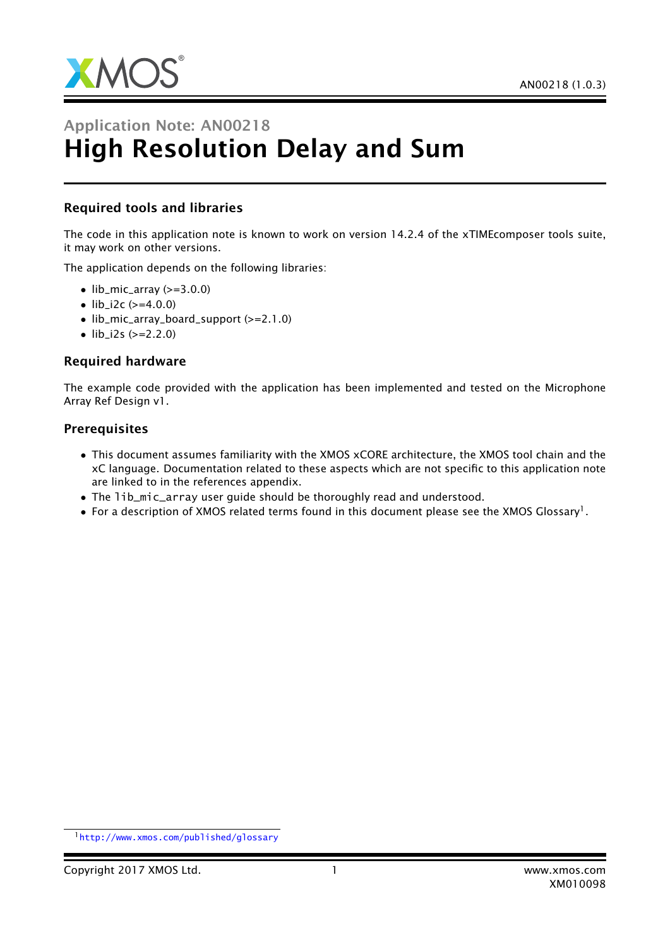

# Application Note: AN00218 High Resolution Delay and Sum

#### Required tools and libraries

The code in this application note is known to work on version 14.2.4 of the xTIMEcomposer tools suite, it may work on other versions.

The application depends on the following libraries:

- $\bullet$  lib\_mic\_array ( $>=$ 3.0.0)
- lib  $i2c$  ( $>=4.0.0$ )
- lib\_mic\_array\_board\_support (>=2.1.0)
- $\text{lib}_i2s$  ( $>=$ 2.2.0)

#### Required hardware

The example code provided with the application has been implemented and tested on the Microphone Array Ref Design v1.

#### **Prerequisites**

- This document assumes familiarity with the XMOS xCORE architecture, the XMOS tool chain and the xC language. Documentation related to these aspects which are not specific to this application note are linked to in the references appendix.
- The lib\_mic\_array user guide should be thoroughly read and understood.
- $\bullet$  For a description of XMOS related terms found in this document please see the XMOS Glossary<sup>1</sup>.

<sup>1</sup><http://www.xmos.com/published/glossary>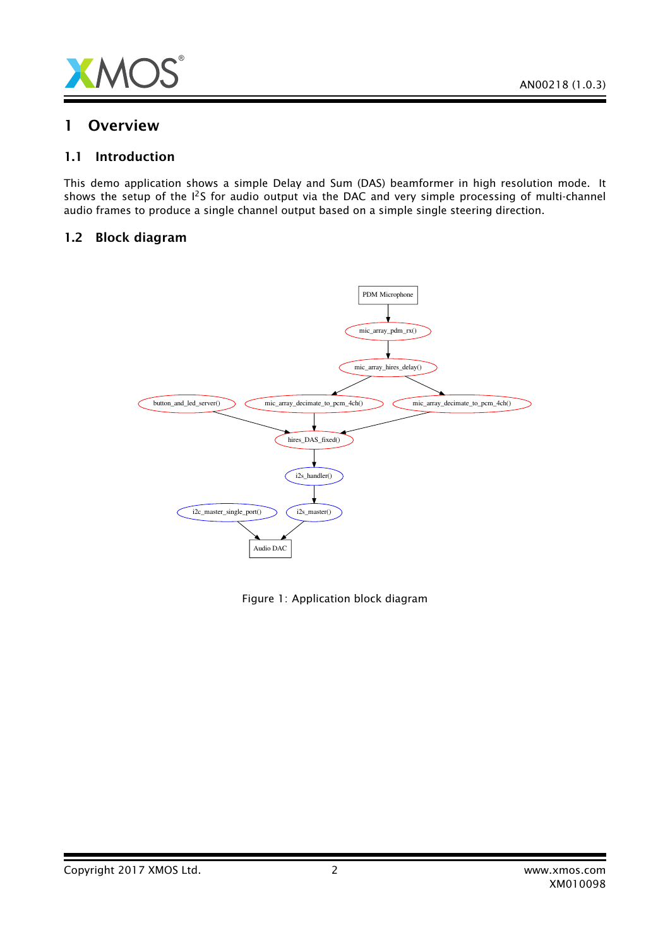

### 1 Overview

#### 1.1 Introduction

This demo application shows a simple Delay and Sum (DAS) beamformer in high resolution mode. It shows the setup of the I<sup>2</sup>S for audio output via the DAC and very simple processing of multi-channel audio frames to produce a single channel output based on a simple single steering direction.

#### 1.2 Block diagram



Figure 1: Application block diagram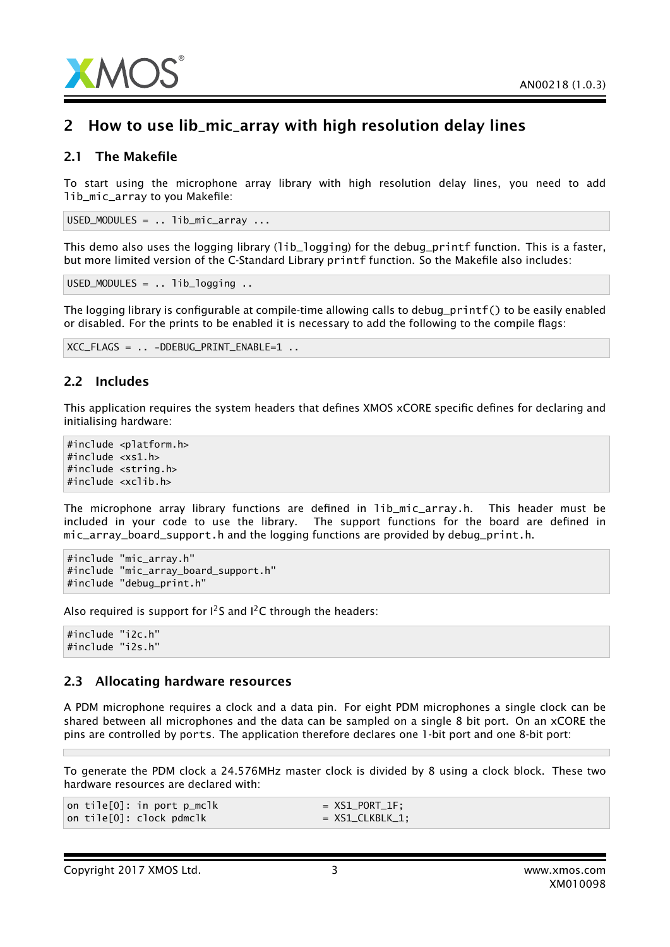

## 2 How to use lib\_mic\_array with high resolution delay lines

#### 2.1 The Makefile

To start using the microphone array library with high resolution delay lines, you need to add lib\_mic\_array to you Makefile:

USED\_MODULES = .. lib\_mic\_array ...

This demo also uses the logging library (1ib\_1ogging) for the debug\_printf function. This is a faster, but more limited version of the C-Standard Library printf function. So the Makefile also includes:

USED\_MODULES = .. lib\_logging ..

The logging library is configurable at compile-time allowing calls to debug\_printf() to be easily enabled or disabled. For the prints to be enabled it is necessary to add the following to the compile flags:

```
XCC_FLAGS = .. -DDEBUG_PRINT_ENABLE=1 ..
```
#### 2.2 Includes

This application requires the system headers that defines XMOS xCORE specific defines for declaring and initialising hardware:

```
#include <platform.h>
#include <xs1.h>
#include <string.h>
#include <xclib.h>
```
The microphone array library functions are defined in lib\_mic\_array.h. This header must be included in your code to use the library. The support functions for the board are defined in mic\_array\_board\_support.h and the logging functions are provided by debug\_print.h.

```
#include "mic_array.h"
#include "mic_array_board_support.h"
#include "debug_print.h"
```
Also required is support for  $1^2$ S and  $1^2$ C through the headers:

#include "i2c.h" #include "i2s.h"

#### 2.3 Allocating hardware resources

A PDM microphone requires a clock and a data pin. For eight PDM microphones a single clock can be shared between all microphones and the data can be sampled on a single 8 bit port. On an xCORE the pins are controlled by ports. The application therefore declares one 1-bit port and one 8-bit port:

To generate the PDM clock a 24.576MHz master clock is divided by 8 using a clock block. These two hardware resources are declared with:

|  | on tile[0]: in port p_mclk | $=$ XS1_PORT_1F;  |
|--|----------------------------|-------------------|
|  | on tile[0]: clock pdmclk   | $= XS1_CLKBLK_1;$ |

XM010098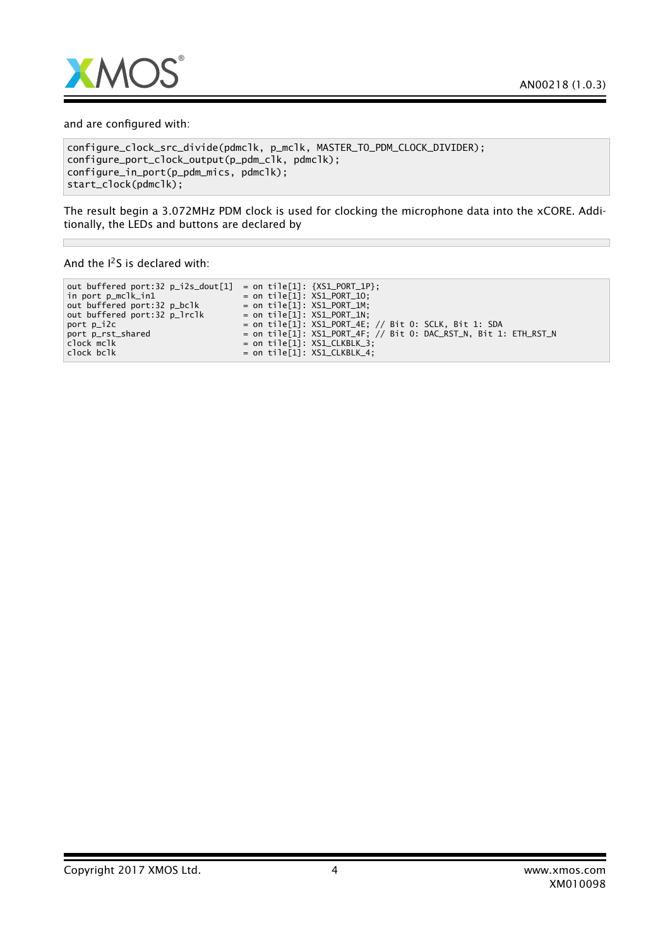

and are configured with:

```
configure_clock_src_divide(pdmclk, p_mclk, MASTER_TO_PDM_CLOCK_DIVIDER);
configure_port_clock_output(p_pdm_clk, pdmclk);
configure_in_port(p_pdm_mics, pdmclk);
start_clock(pdmclk);
```
The result begin a 3.072MHz PDM clock is used for clocking the microphone data into the xCORE. Additionally, the LEDs and buttons are declared by

And the  $I^2S$  is declared with:

 $\overline{\phantom{a}}$ 

| out buffered port:32 p_i2s_dout[1] | = on tile[1]: ${XSL-PORT_1}$ :                                   |
|------------------------------------|------------------------------------------------------------------|
| in port p_mclk_in1                 | = on tile[1]: $XSL_PORT_1$ .                                     |
| out buffered port:32 p_bclk        | $=$ on tile[1]: $XSL_PORT_1M$ ;                                  |
| out buffered port:32 p_lrclk       | = on tile[1]: $XSL_PORT_1$ :                                     |
| port p_i2c                         | $=$ on tile[1]: XS1_PORT_4E; // Bit 0: SCLK, Bit 1: SDA          |
| port p_rst_shared                  | = on tile[1]: XS1_PORT_4F: // Bit 0: DAC_RST_N, Bit 1: ETH_RST_N |
| clock mclk                         | = on tile[1]: $XSL$ CLKBLK_3;                                    |
| clock bclk                         | = on tile[1]: $XSL$ CLKBLK_4;                                    |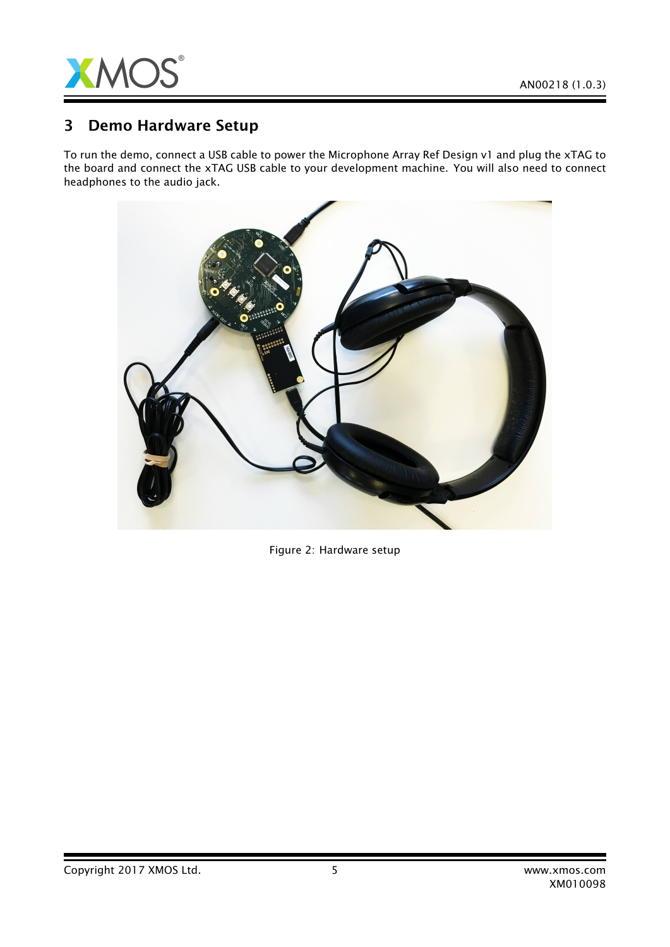

## 3 Demo Hardware Setup

To run the demo, connect a USB cable to power the Microphone Array Ref Design v1 and plug the xTAG to the board and connect the xTAG USB cable to your development machine. You will also need to connect headphones to the audio jack.



Figure 2: Hardware setup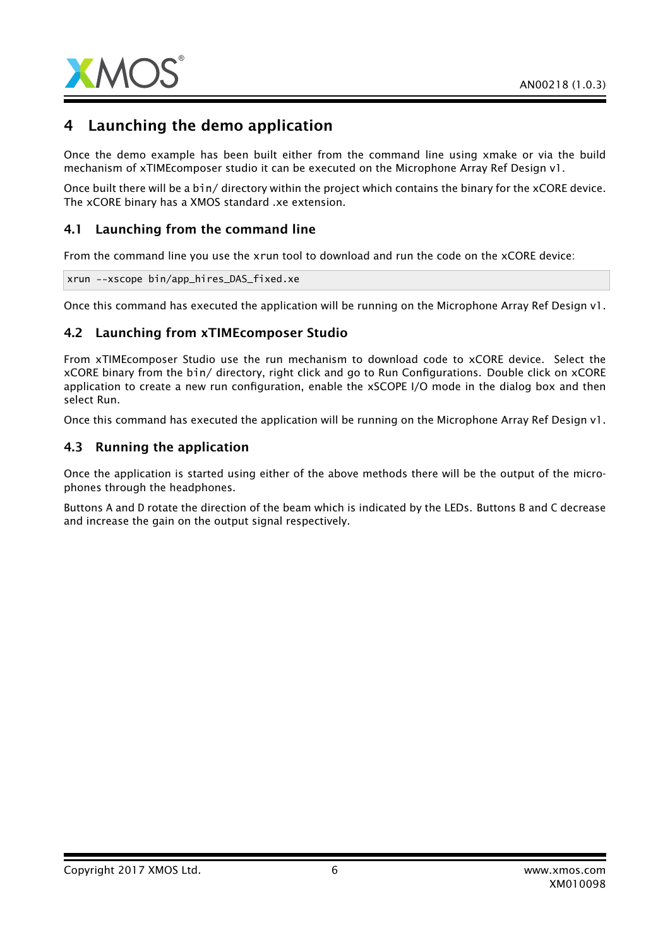

## 4 Launching the demo application

Once the demo example has been built either from the command line using xmake or via the build mechanism of xTIMEcomposer studio it can be executed on the Microphone Array Ref Design v1.

Once built there will be a bin/ directory within the project which contains the binary for the xCORE device. The xCORE binary has a XMOS standard .xe extension.

#### 4.1 Launching from the command line

From the command line you use the xrun tool to download and run the code on the xCORE device:

xrun --xscope bin/app\_hires\_DAS\_fixed.xe

Once this command has executed the application will be running on the Microphone Array Ref Design v1.

#### 4.2 Launching from xTIMEcomposer Studio

From xTIMEcomposer Studio use the run mechanism to download code to xCORE device. Select the xCORE binary from the bin/ directory, right click and go to Run Configurations. Double click on xCORE application to create a new run configuration, enable the xSCOPE I/O mode in the dialog box and then select Run.

Once this command has executed the application will be running on the Microphone Array Ref Design v1.

#### 4.3 Running the application

Once the application is started using either of the above methods there will be the output of the microphones through the headphones.

Buttons A and D rotate the direction of the beam which is indicated by the LEDs. Buttons B and C decrease and increase the gain on the output signal respectively.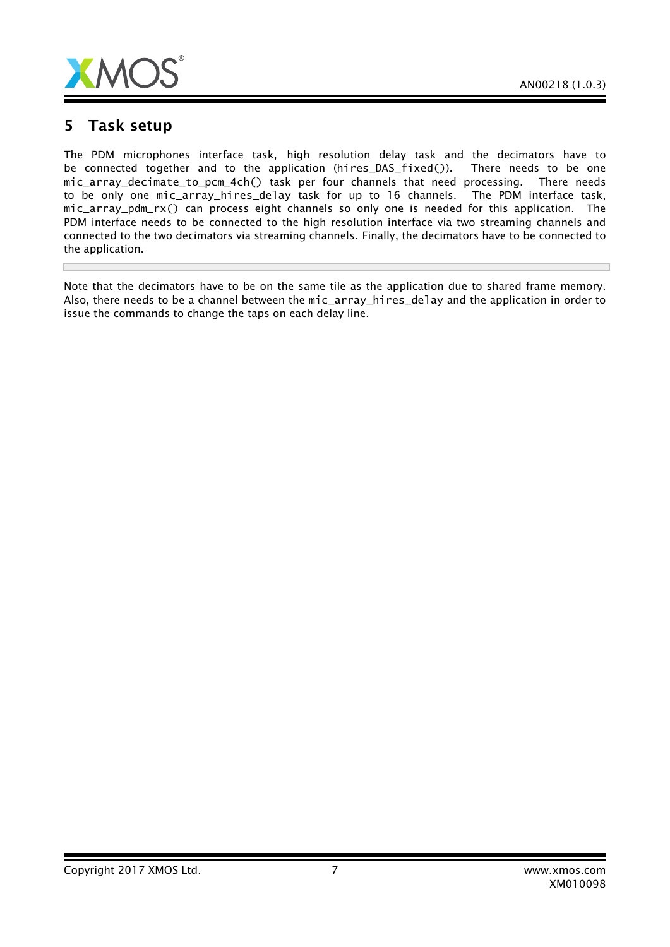

## 5 Task setup

П

The PDM microphones interface task, high resolution delay task and the decimators have to be connected together and to the application (hires\_DAS\_fixed()). There needs to be one mic\_array\_decimate\_to\_pcm\_4ch() task per four channels that need processing. There needs to be only one mic\_array\_hires\_delay task for up to 16 channels. The PDM interface task, mic\_array\_pdm\_rx() can process eight channels so only one is needed for this application. The PDM interface needs to be connected to the high resolution interface via two streaming channels and connected to the two decimators via streaming channels. Finally, the decimators have to be connected to the application.

Note that the decimators have to be on the same tile as the application due to shared frame memory. Also, there needs to be a channel between the mic\_array\_hires\_delay and the application in order to issue the commands to change the taps on each delay line.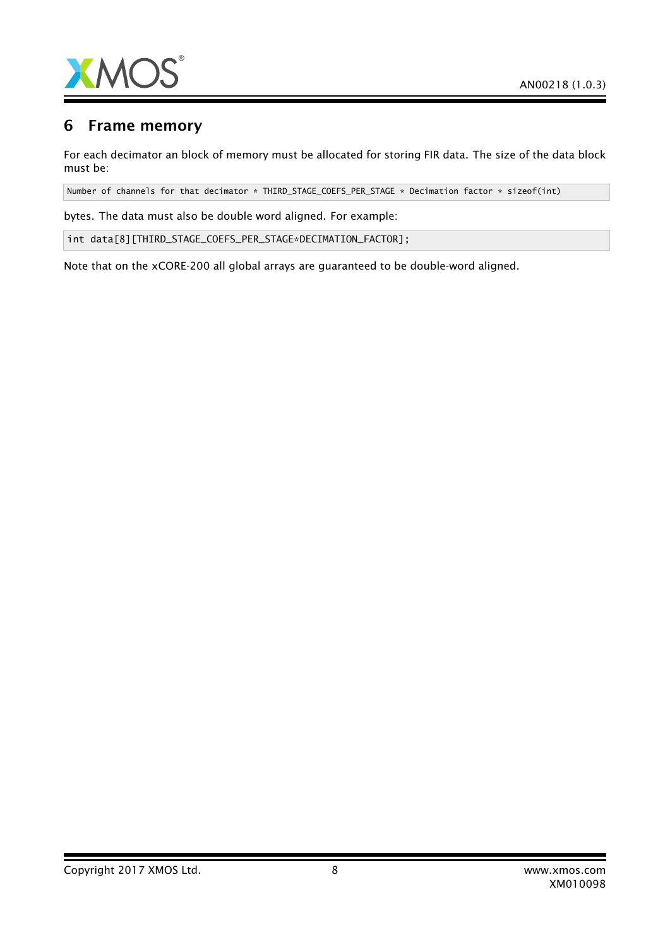

## 6 Frame memory

For each decimator an block of memory must be allocated for storing FIR data. The size of the data block must be:

Number of channels for that decimator \* THIRD\_STAGE\_COEFS\_PER\_STAGE \* Decimation factor \* sizeof(int)

bytes. The data must also be double word aligned. For example:

int data[8][THIRD\_STAGE\_COEFS\_PER\_STAGE\*DECIMATION\_FACTOR];

Note that on the xCORE-200 all global arrays are guaranteed to be double-word aligned.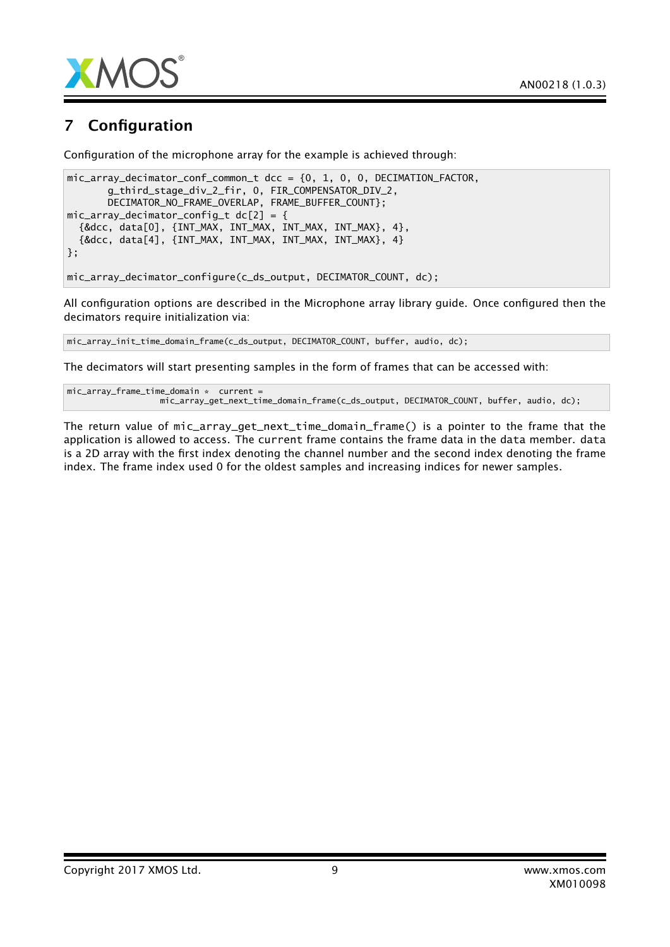

## 7 Configuration

Configuration of the microphone array for the example is achieved through:

```
mic_array_decimator_conf_common_t dcc = {0, 1, 0, 0, DECIMATION_FACTOR,
       g_third_stage_div_2_fir, 0, FIR_COMPENSATOR_DIV_2,
       DECIMATOR_NO_FRAME_OVERLAP, FRAME_BUFFER_COUNT};
mic_array_decimator_config_t dc[2] = {
  {&dcc, data[0], {INT_MAX, INT_MAX, INT_MAX, INT_MAX}, 4},
  {&dcc, data[4], {INT_MAX, INT_MAX, INT_MAX, INT_MAX}, 4}
};
mic_array_decimator_configure(c_ds_output, DECIMATOR_COUNT, dc);
```
All configuration options are described in the Microphone array library guide. Once configured then the decimators require initialization via:

mic\_array\_init\_time\_domain\_frame(c\_ds\_output, DECIMATOR\_COUNT, buffer, audio, dc);

The decimators will start presenting samples in the form of frames that can be accessed with:

```
mic_array_frame_time_domain * current =
                  mic_array_get_next_time_domain_frame(c_ds_output, DECIMATOR_COUNT, buffer, audio, dc);
```
The return value of mic\_array\_get\_next\_time\_domain\_frame() is a pointer to the frame that the application is allowed to access. The current frame contains the frame data in the data member. data is a 2D array with the first index denoting the channel number and the second index denoting the frame index. The frame index used 0 for the oldest samples and increasing indices for newer samples.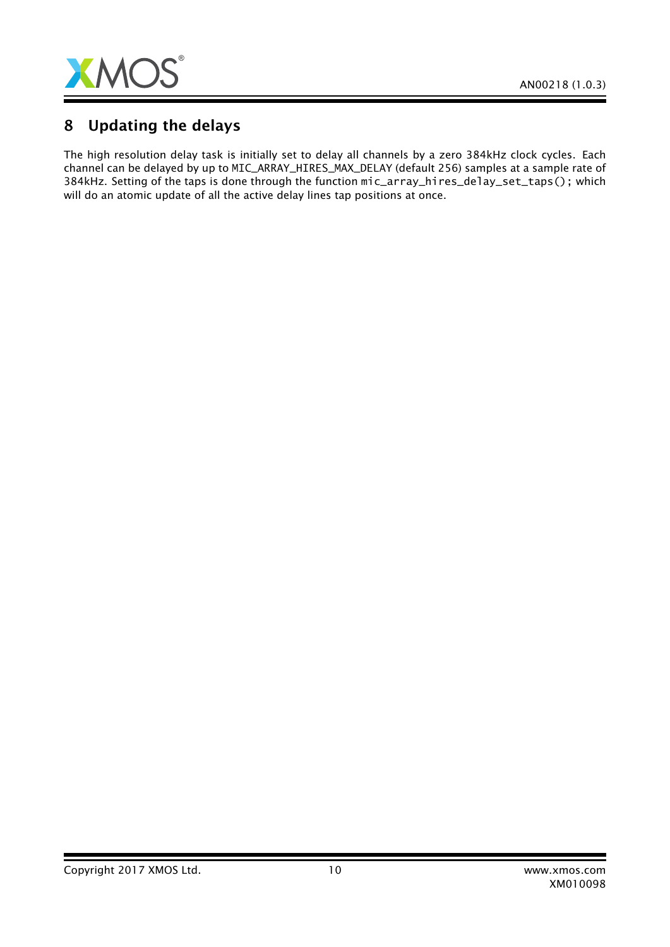

## 8 Updating the delays

The high resolution delay task is initially set to delay all channels by a zero 384kHz clock cycles. Each channel can be delayed by up to MIC\_ARRAY\_HIRES\_MAX\_DELAY (default 256) samples at a sample rate of 384kHz. Setting of the taps is done through the function mic\_array\_hires\_delay\_set\_taps(); which will do an atomic update of all the active delay lines tap positions at once.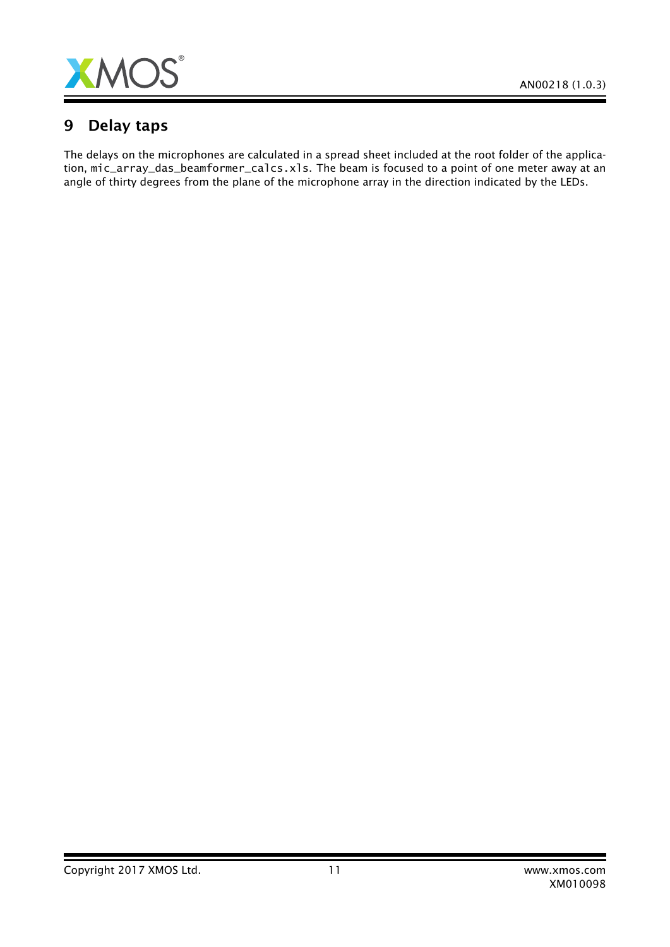

## 9 Delay taps

The delays on the microphones are calculated in a spread sheet included at the root folder of the application, mic\_array\_das\_beamformer\_calcs.xls. The beam is focused to a point of one meter away at an angle of thirty degrees from the plane of the microphone array in the direction indicated by the LEDs.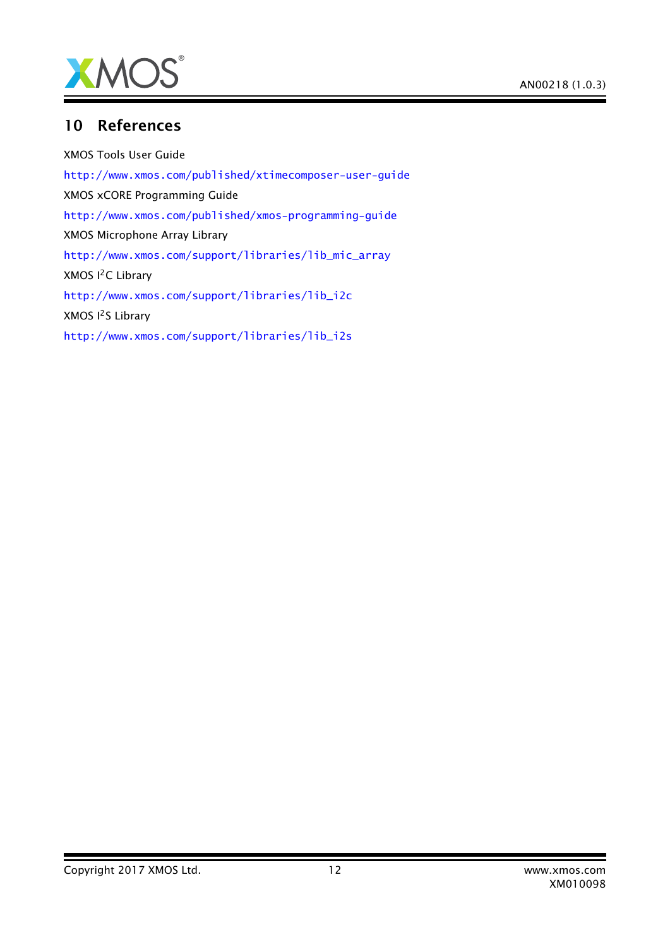

## 10 References

XMOS Tools User Guide <http://www.xmos.com/published/xtimecomposer-user-guide> XMOS xCORE Programming Guide <http://www.xmos.com/published/xmos-programming-guide> XMOS Microphone Array Library [http://www.xmos.com/support/libraries/lib\\_mic\\_array](http://www.xmos.com/support/libraries/lib_mic_array) XMOS I<sup>2</sup>C Library [http://www.xmos.com/support/libraries/lib\\_i2c](http://www.xmos.com/support/libraries/lib_i2c) XMOS I<sup>2</sup>S Library [http://www.xmos.com/support/libraries/lib\\_i2s](http://www.xmos.com/support/libraries/lib_i2s)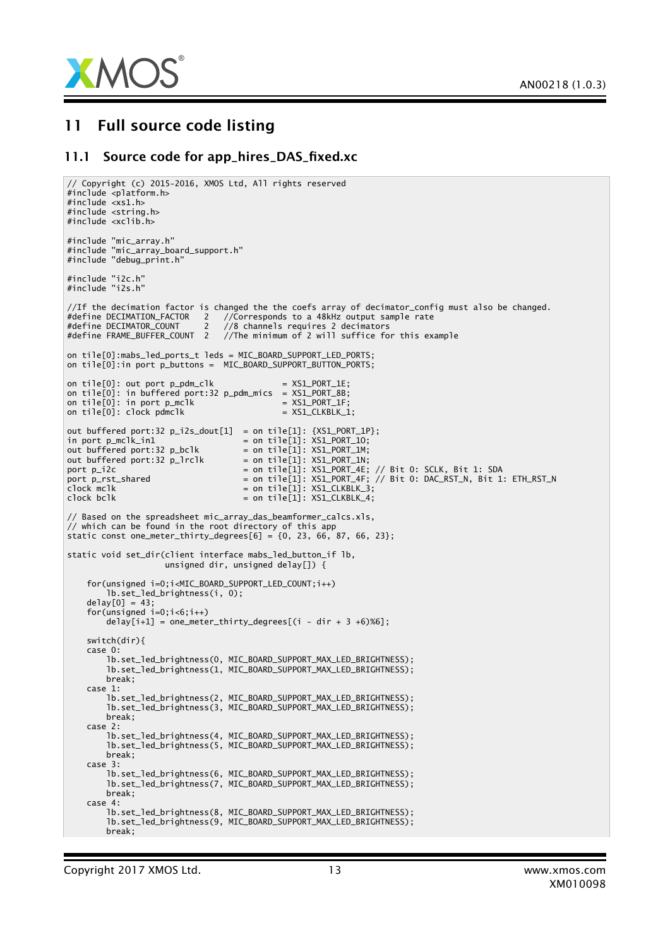

## 11 Full source code listing

#### 11.1 Source code for app\_hires\_DAS\_fixed.xc

```
// Copyright (c) 2015-2016, XMOS Ltd, All rights reserved
#include <platform.h>
#include \langle x \rangles1.h>
#include <string.h>
#include <xclib.h>
#include "mic_array.h"
#include "mic_array_board_support.h"
#include "debug_print.h"
#include "i2c.h"
#include "i2s.h"
//If the decimation factor is changed the the coefs array of decimator_config must also be changed.
#define DECIMATION_FACTOR 2 //Corresponds to a 48kHz output sample rate
#define DECIMATOR_COUNT 2 //8 channels requires 2 decimators
#define FRAME_BUFFER_COUNT 2 //The minimum of 2 will suffice for this example
on tile[0]:mabs_led_ports_t leds = MIC_BOARD_SUPPORT_LED_PORTS;
on tile[0]:in port p_buttons = MIC_BOARD_SUPPORT_BUTTON_PORTS;
on tile[0]: out port p\_pdm\_c]k = XSL\_PORT\_1E;
on tile[0]: in buffered port:32 p_pdm_mics = XS1_PORT_8B;
on tile[0]: in port p_mclk = XSL-PORT_1F;on tile[0]: clock pdmclk = XS1_CLKBLK_1;
out buffered port:32 p_i2s_dout[1] = on tile[1]: {XS1_PORT_1P};
in port p_mclk_in1 = on tile[1]: XSL_PORT_1O;out buffered port:32 p_bclk = on tile[1]: XS1_PORT_1M;<br>out buffered port:32 p_lrclk = on tile[1]: XS1_PORT_1N;
out buffered port:32 p_lrclk
port p_i2c = on tile[1]: XS1_PORT_4E; // Bit 0: SCLK, Bit 1: SDA
port p_rst_shared = on tile[1]: XS1_PORT_4F; // Bit 0: DAC_RST_N, Bit 1: ETH_RST_N
clock mclk \begin{aligned} \text{clock} &= \text{on tile}[1]: XSLCLKBLK_3; \\ \text{clock} &= \text{on tile}[1]: XSLCLKBLK_4; \end{aligned}= on tile[1]: XSLCLKBLK_4;
// Based on the spreadsheet mic_array_das_beamformer_calcs.xls,
// which can be found in the root directory of this app
static const one_meter_thirty_degrees[6] = \{0, 23, 66, 87, 66, 23\};static void set_dir(client interface mabs_led_button_if lb,
                    unsigned dir, unsigned delay[]) \overline{\{}for(unsigned i=0;i<MIC_BOARD_SUPPORT_LED_COUNT;i++)
        lb.set_led_brightness(i, 0);
    delay[0] = 43;for(unsigned i=0;i<6;i++)delay[i+1] = one\_meter\_thirty\_degrees[(i - dir + 3 + 6)%6];switch(dir){
    case 0:
        lb.set_led_brightness(0, MIC_BOARD_SUPPORT_MAX_LED_BRIGHTNESS);
        lb.set_led_brightness(1, MIC_BOARD_SUPPORT_MAX_LED_BRIGHTNESS);
       break;
    case 1:
        lb.set_led_brightness(2, MIC_BOARD_SUPPORT_MAX_LED_BRIGHTNESS);
        lb.set_led_brightness(3, MIC_BOARD_SUPPORT_MAX_LED_BRIGHTNESS);
       break;
    case 2:
        lb.set_led_brightness(4, MIC_BOARD_SUPPORT_MAX_LED_BRIGHTNESS);
        lb.set_led_brightness(5, MIC_BOARD_SUPPORT_MAX_LED_BRIGHTNESS);
       break;
    case 3:
        lb.set_led_brightness(6, MIC_BOARD_SUPPORT_MAX_LED_BRIGHTNESS);
        lb.set_led_brightness(7, MIC_BOARD_SUPPORT_MAX_LED_BRIGHTNESS);
       break;
    case 4:
        lb.set_led_brightness(8, MIC_BOARD_SUPPORT_MAX_LED_BRIGHTNESS);
        lb.set_led_brightness(9, MIC_BOARD_SUPPORT_MAX_LED_BRIGHTNESS);
       break;
```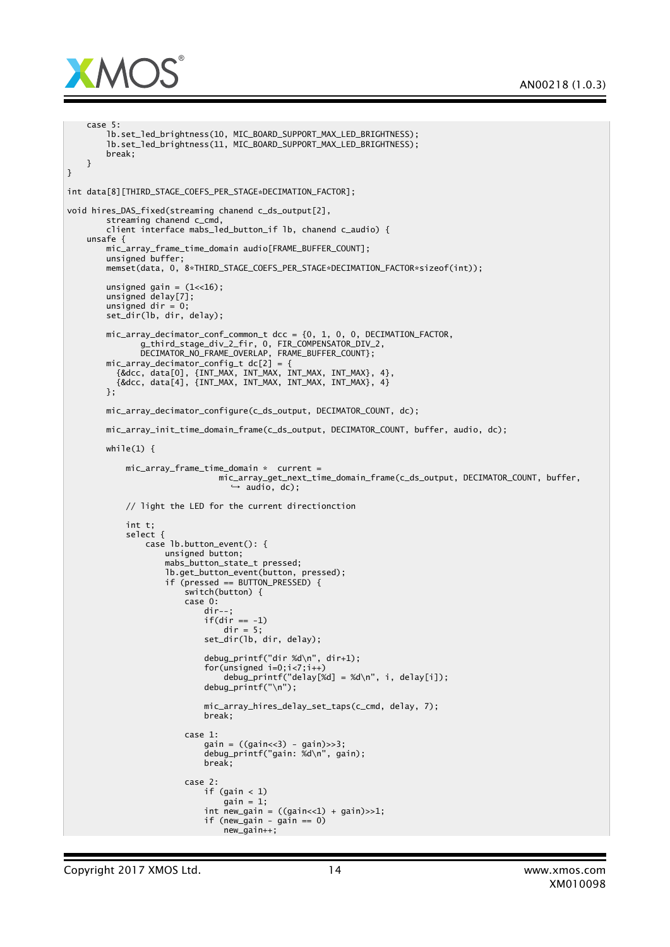

```
case 5:
        lb.set_led_brightness(10, MIC_BOARD_SUPPORT_MAX_LED_BRIGHTNESS);
        lb.set_led_brightness(11, MIC_BOARD_SUPPORT_MAX_LED_BRIGHTNESS);
       break;
    }
}
int data[8][THIRD_STAGE_COEFS_PER_STAGE*DECIMATION_FACTOR];
void hires_DAS_fixed(streaming chanend c_ds_output[2],
        streaming chanend c_cmd,
        client interface mabs_led_button_if lb, chanend c_audio) {
    unsafe {
       mic_array_frame_time_domain audio[FRAME_BUFFER_COUNT];
        unsigned buffer;
       memset(data, 0, 8*THIRD_STAGE_COEFS_PER_STAGE*DECIMATION_FACTOR*sizeof(int));
       unsigned gain = (1<16);
        unsigned delay[7];
       unsigned dir = 0;
       set_dir(lb, dir, delay);
       mic_array_decimator_conf_common_t dcc = {0, 1, 0, 0, DECIMATION_FACTOR,
               g_third_stage_div_2_fir, 0, FIR_COMPENSATOR_DIV_2,
               DECIMATOR_NO_FRAME_OVERLAP, FRAME_BUFFER_COUNT};
        mic_array_decimator_config_t dc[2] = {
          {&dcc, data[0], {INT_MAX, INT_MAX, INT_MAX, INT_MAX}, 4},
          {&dcc, data[4], {INT_MAX, INT_MAX, INT_MAX, INT_MAX}, 4}
       };
       mic_array_decimator_configure(c_ds_output, DECIMATOR_COUNT, dc);
       mic_array_init_time_domain_frame(c_ds_output, DECIMATOR_COUNT, buffer, audio, dc);
       while(1) {
            mic_array_frame_time_domain * current =
                               mic_array_get_next_time_domain_frame(c_ds_output, DECIMATOR_COUNT, buffer,
                                  → audio, dc);
            // light the LED for the current directionction
            int t;
            select {
                case lb.button_event(): {
                    unsigned button;
                    mabs_button_state_t pressed;
                    lb.get_button_event(button, pressed);
                    if (pressed == BUTTON_PRESSED) {
                        switch(button) {
                        case 0:
                            dir--if(dir == -1)
                                dir = 5;set_dir(lb, dir, delay);
                            debug_printf("dir %d\n", dir+1);
                            for(unsigned i=0; i<7; i++)debug_printf("delay[%d] = %d\n", i, delay[i]);
                            debug_printf("\n");
                            mic_array_hires_delay_set_taps(c_cmd, delay, 7);
                            break;
                        case 1:
                            gain = ((gain<<3) - gain)>>3;debug_printf("gain: %d\n", gain);
                            break;
                        case 2:
                            if (gain < 1)
                                gain = 1;int new_gain = ((gain<<1) + gain) >> 1;if (new_gain - gain == 0)
                                new<sup>n</sup>ew<sup>1</sup>
```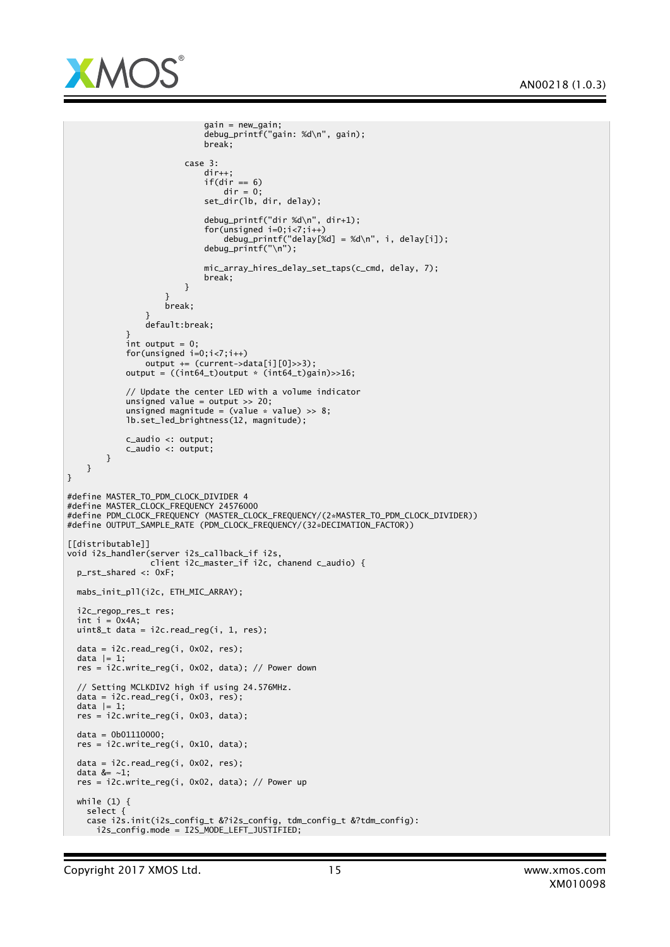

```
gain = new_gain;
                            debug_printf("gain: %d\n", gain);
                            break;
                        case 3:
                            dir++;if(dir == 6)
                               dir = 0;set_dir(lb, dir, delay);
                            debug_printf("dir %d\n", dir+1);
                            for(unsigned i=0; i<7; i++)debug_printf("delay[%d] = %d\n", i, delay[i]);
                            debug_printf("\n");
                            mic_array_hires_delay_set_taps(c_cmd, delay, 7);
                            break;
                        }
                    }
                    break;
                }
                default:break;
            }
            int output = 0:
            for(unsigned i=0;i<7;i++)
               output += (current->data[i][0]>>3);
            output = ((int64_t)output * (int64_t)gain)>>16;
            // Update the center LED with a volume indicator
            unsigned value = output >> 20;
            unsigned magnitude = (value * value) >> 8;lb.set_led_brightness(12, magnitude);
            c_audio <: output;
           c_audio <: output;
       }
   }
}
#define MASTER_TO_PDM_CLOCK_DIVIDER 4
#define MASTER_CLOCK_FREQUENCY 24576000
#define PDM_CLOCK_FREQUENCY (MASTER_CLOCK_FREQUENCY/(2*MASTER_TO_PDM_CLOCK_DIVIDER))
#define OUTPUT_SAMPLE_RATE (PDM_CLOCK_FREQUENCY/(32*DECIMATION_FACTOR))
[[distributable]]
void i2s_handler(server i2s_callback_if i2s,
                 client i2c_master_if i2c, chanend c_audio) {
 p_rst_shared <: 0xF;
 mabs_init_pll(i2c, ETH_MIC_ARRAY);
 i2c_regop_res_t res;
 int i = 0x4A;uint8_tt data = i2c.read_reg(i, 1, res);
 data = i2c.read_reg(i, 0x02, res);data |= 1:
 res = i2c.write_reg(i, 0x02, data); // Power down
  // Setting MCLKDIV2 high if using 24.576MHz.
 data = i2c.read_reg(i, 0x03, res);data |= 1;res = i2c.write_reg(i, 0x03, data);
 data = 0b01110000;res = i2c.write_reg(i, 0x10, data);
 data = i2c.read_reg(i, 0x02, res);
 data &= ~1;
 res = i2c.write_reg(i, 0x02, data); // Power upwhile (1) {
   select {
    case i2s.init(i2s_config_t &?i2s_config, tdm_config_t &?tdm_config):
     i2s_config.mode = I2S_MODE_LEFT_JUSTIFIED;
```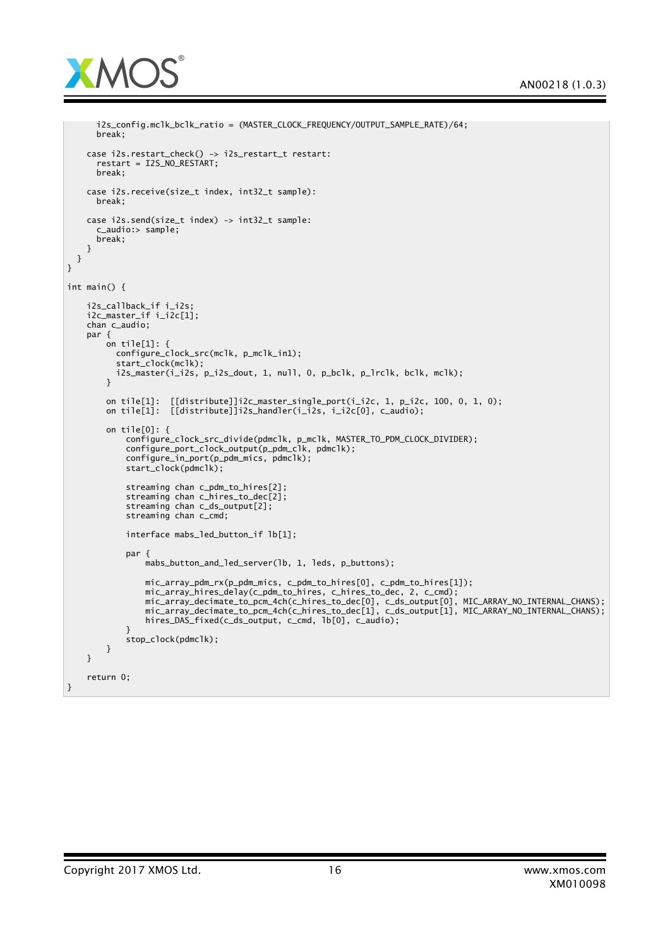

```
i2s_config.mclk_bclk_ratio = (MASTER_CLOCK_FREQUENCY/OUTPUT_SAMPLE_RATE)/64;
     break;
    case i2s.restart_check() -> i2s_restart_t restart:
      restart = I2S_NO_RESTART;
     break;
   case i2s.receive(size_t index, int32_t sample):
     break;
    case i2s.send(size_t index) -> int32_t sample:
      c_audio:> sample;
     break;
   }
 }
}
int main() {
    i2s_callback_if i_i2s;
    i2c_master_if i_i2c[1];
    chan c_audio;
    par {
        on tile[1]: {
          configure_clock_src(mclk, p_mclk_in1);
          start_clock(mclk);
         i2s_master(i_i2s, p_i2s_dout, 1, null, 0, p_bclk, p_lrclk, bclk, mclk);
       }
       on tile[1]: [[distance]]i2c\_master\_single\_port(i_i2c, 1, p_i2c, 100, 0, 1, 0);on tile[1]: [[distribute]]i2s_handler(i_i2s, i_i2c[0], c_audio);
       on tile[0]: {
            configure_clock_src_divide(pdmclk, p_mclk, MASTER_TO_PDM_CLOCK_DIVIDER);
            configure_port_clock_output(p_pdm_clk, pdmclk);
            configure_in_port(p_pdm_mics, pdmclk);
            start_clock(pdmclk);
            streaming chan c_pdm_to_hires[2];
            streaming chan c_hires_to_dec[2];
            streaming chan c_ds_output[2];
            streaming chan c_cmd;
            interface mabs_led_button_if lb[1];
            par {
                mabs_button_and_led_server(lb, 1, leds, p_buttons);
                mic_array_pdm_rx(p_pdm_mics, c_pdm_to_hires[0], c_pdm_to_hires[1]);
                mic_array_hires_delay(c_pdm_to_hires, c_hires_to_dec, 2, c_cmd);
                mic_array_decimate_to_pcm_4ch(c_hires_to_dec[0], c_ds_output[0], MIC_ARRAY_NO_INTERNAL_CHANS);
                mic_array_decimate_to_pcm_4ch(c_hires_to_dec[1], c_ds_output[1], MIC_ARRAY_NO_INTERNAL_CHANS);
                hires_DAS_fixed(c_ds_output, c_cmd, lb[0], c_audio);
            }
            stop_clock(pdmclk);
       }
   }
    return 0;
}
```